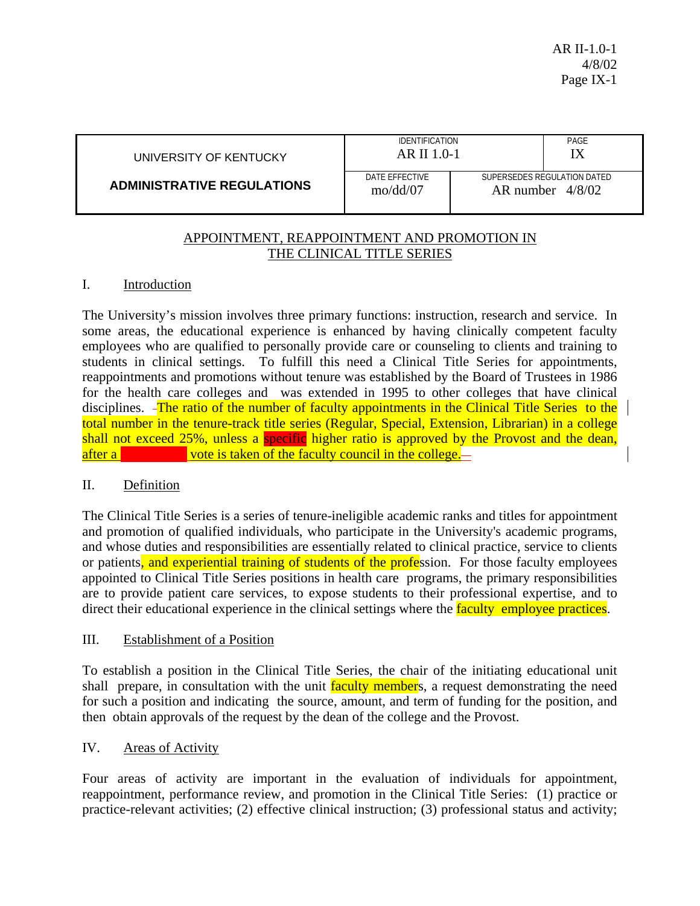| UNIVERSITY OF KENTUCKY            | <b>IDENTIFICATION</b><br>AR II 1.0-1 |                                                   | PAGE |
|-----------------------------------|--------------------------------------|---------------------------------------------------|------|
| <b>ADMINISTRATIVE REGULATIONS</b> | DATE FFFFCTIVE<br>$\text{mol}$ dd/07 | SUPERSEDES REGULATION DATED<br>AR number $4/8/02$ |      |

## APPOINTMENT, REAPPOINTMENT AND PROMOTION IN THE CLINICAL TITLE SERIES

### I. Introduction

The University's mission involves three primary functions: instruction, research and service. In some areas, the educational experience is enhanced by having clinically competent faculty employees who are qualified to personally provide care or counseling to clients and training to students in clinical settings. To fulfill this need a Clinical Title Series for appointments, reappointments and promotions without tenure was established by the Board of Trustees in 1986 for the health care colleges and was extended in 1995 to other colleges that have clinical disciplines. -The ratio of the number of faculty appointments in the Clinical Title Series to the total number in the tenure-track title series (Regular, Special, Extension, Librarian) in a college shall not exceed 25%, unless a specific higher ratio is approved by the Provost and the dean, after a **consultative vote is taken of the faculty council in the college.**—

## II. Definition

The Clinical Title Series is a series of tenure-ineligible academic ranks and titles for appointment and promotion of qualified individuals, who participate in the University's academic programs, and whose duties and responsibilities are essentially related to clinical practice, service to clients or patients, and experiential training of students of the profession. For those faculty employees appointed to Clinical Title Series positions in health care programs, the primary responsibilities are to provide patient care services, to expose students to their professional expertise, and to direct their educational experience in the clinical settings where the **faculty employee practices**.

#### III. Establishment of a Position

To establish a position in the Clinical Title Series, the chair of the initiating educational unit shall prepare, in consultation with the unit faculty members, a request demonstrating the need for such a position and indicating the source, amount, and term of funding for the position, and then obtain approvals of the request by the dean of the college and the Provost.

## IV. Areas of Activity

Four areas of activity are important in the evaluation of individuals for appointment, reappointment, performance review, and promotion in the Clinical Title Series: (1) practice or practice-relevant activities; (2) effective clinical instruction; (3) professional status and activity;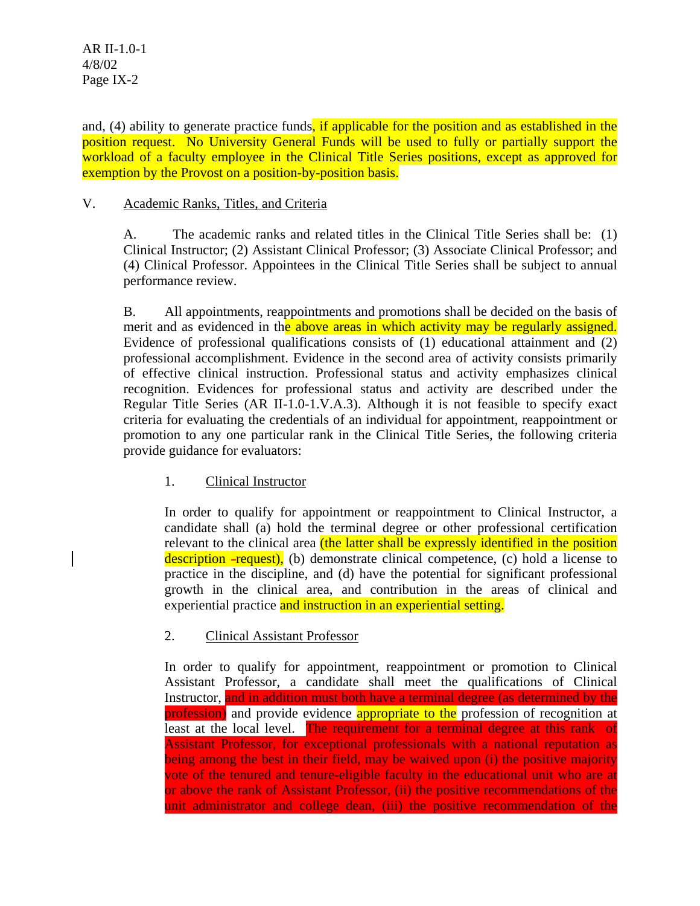and, (4) ability to generate practice funds, if applicable for the position and as established in the position request. No University General Funds will be used to fully or partially support the workload of a faculty employee in the Clinical Title Series positions, except as approved for exemption by the Provost on a position-by-position basis.

## V. Academic Ranks, Titles, and Criteria

A. The academic ranks and related titles in the Clinical Title Series shall be: (1) Clinical Instructor; (2) Assistant Clinical Professor; (3) Associate Clinical Professor; and (4) Clinical Professor. Appointees in the Clinical Title Series shall be subject to annual performance review.

B. All appointments, reappointments and promotions shall be decided on the basis of merit and as evidenced in the above areas in which activity may be regularly assigned. Evidence of professional qualifications consists of (1) educational attainment and (2) professional accomplishment. Evidence in the second area of activity consists primarily of effective clinical instruction. Professional status and activity emphasizes clinical recognition. Evidences for professional status and activity are described under the Regular Title Series (AR II-1.0-1.V.A.3). Although it is not feasible to specify exact criteria for evaluating the credentials of an individual for appointment, reappointment or promotion to any one particular rank in the Clinical Title Series, the following criteria provide guidance for evaluators:

# 1. Clinical Instructor

In order to qualify for appointment or reappointment to Clinical Instructor, a candidate shall (a) hold the terminal degree or other professional certification relevant to the clinical area (the latter shall be expressly identified in the position description  $-$ request), (b) demonstrate clinical competence, (c) hold a license to practice in the discipline, and (d) have the potential for significant professional growth in the clinical area, and contribution in the areas of clinical and experiential practice and instruction in an experiential setting.

# 2. Clinical Assistant Professor

In order to qualify for appointment, reappointment or promotion to Clinical Assistant Professor, a candidate shall meet the qualifications of Clinical Instructor, and in addition must both have a terminal degree (as determined by the profession) and provide evidence appropriate to the profession of recognition at least at the local level. The requirement for a terminal degree at this rank of Assistant Professor, for exceptional professionals with a national reputation as being among the best in their field, may be waived upon (i) the positive majority vote of the tenured and tenure-eligible faculty in the educational unit who are at or above the rank of Assistant Professor, (ii) the positive recommendations of the unit administrator and college dean, (iii) the positive recommendation of the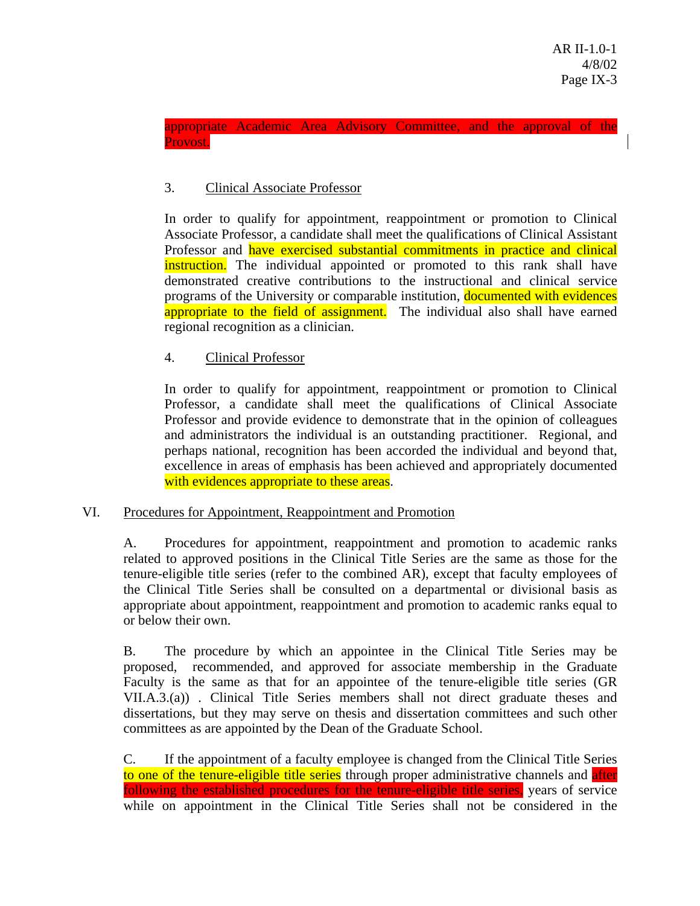## appropriate Academic Area Advisory Committee, and the approval of the Provost.

# 3. Clinical Associate Professor

In order to qualify for appointment, reappointment or promotion to Clinical Associate Professor, a candidate shall meet the qualifications of Clinical Assistant Professor and have exercised substantial commitments in practice and clinical instruction. The individual appointed or promoted to this rank shall have demonstrated creative contributions to the instructional and clinical service programs of the University or comparable institution, documented with evidences appropriate to the field of assignment. The individual also shall have earned regional recognition as a clinician.

# 4. Clinical Professor

In order to qualify for appointment, reappointment or promotion to Clinical Professor, a candidate shall meet the qualifications of Clinical Associate Professor and provide evidence to demonstrate that in the opinion of colleagues and administrators the individual is an outstanding practitioner. Regional, and perhaps national, recognition has been accorded the individual and beyond that, excellence in areas of emphasis has been achieved and appropriately documented with evidences appropriate to these areas.

# VI. Procedures for Appointment, Reappointment and Promotion

A. Procedures for appointment, reappointment and promotion to academic ranks related to approved positions in the Clinical Title Series are the same as those for the tenure-eligible title series (refer to the combined AR), except that faculty employees of the Clinical Title Series shall be consulted on a departmental or divisional basis as appropriate about appointment, reappointment and promotion to academic ranks equal to or below their own.

B. The procedure by which an appointee in the Clinical Title Series may be proposed, recommended, and approved for associate membership in the Graduate Faculty is the same as that for an appointee of the tenure-eligible title series (GR VII.A.3.(a)) . Clinical Title Series members shall not direct graduate theses and dissertations, but they may serve on thesis and dissertation committees and such other committees as are appointed by the Dean of the Graduate School.

C. If the appointment of a faculty employee is changed from the Clinical Title Series to one of the tenure-eligible title series through proper administrative channels and after following the established procedures for the tenure-eligible title series, years of service while on appointment in the Clinical Title Series shall not be considered in the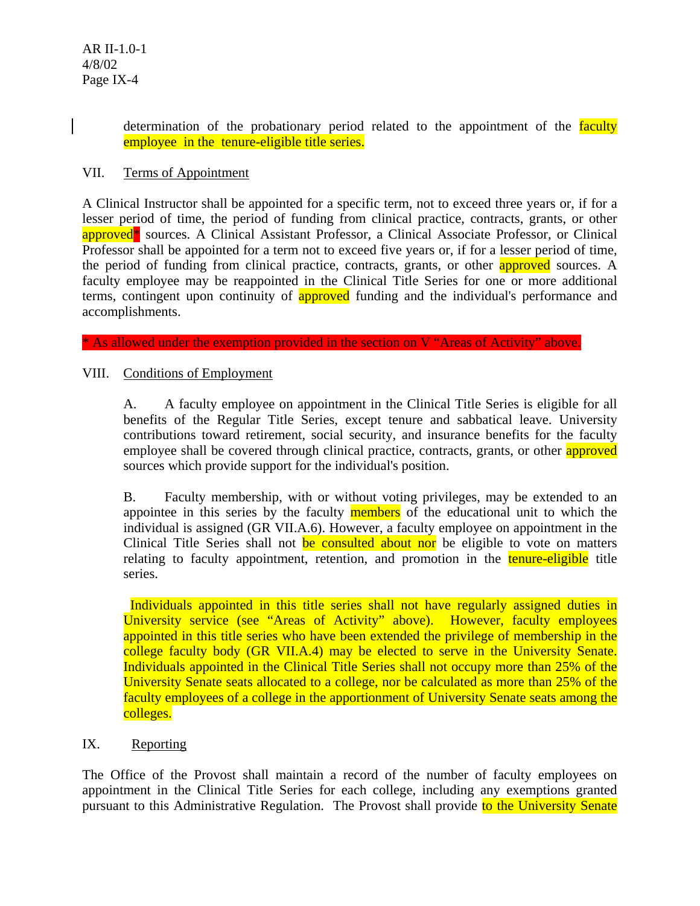determination of the probationary period related to the appointment of the faculty employee in the tenure-eligible title series.

## VII. Terms of Appointment

A Clinical Instructor shall be appointed for a specific term, not to exceed three years or, if for a lesser period of time, the period of funding from clinical practice, contracts, grants, or other approved<sup>\*</sup> sources. A Clinical Assistant Professor, a Clinical Associate Professor, or Clinical Professor shall be appointed for a term not to exceed five years or, if for a lesser period of time, the period of funding from clinical practice, contracts, grants, or other **approved** sources. A faculty employee may be reappointed in the Clinical Title Series for one or more additional terms, contingent upon continuity of **approved** funding and the individual's performance and accomplishments.

\* As allowed under the exemption provided in the section on V "Areas of Activity" above.

### VIII. Conditions of Employment

A. A faculty employee on appointment in the Clinical Title Series is eligible for all benefits of the Regular Title Series, except tenure and sabbatical leave. University contributions toward retirement, social security, and insurance benefits for the faculty employee shall be covered through clinical practice, contracts, grants, or other **approved** sources which provide support for the individual's position.

B. Faculty membership, with or without voting privileges, may be extended to an appointee in this series by the faculty members of the educational unit to which the individual is assigned (GR VII.A.6). However, a faculty employee on appointment in the Clinical Title Series shall not be consulted about nor be eligible to vote on matters relating to faculty appointment, retention, and promotion in the tenure-eligible title series.

 Individuals appointed in this title series shall not have regularly assigned duties in University service (see "Areas of Activity" above). However, faculty employees appointed in this title series who have been extended the privilege of membership in the college faculty body (GR VII.A.4) may be elected to serve in the University Senate. Individuals appointed in the Clinical Title Series shall not occupy more than 25% of the University Senate seats allocated to a college, nor be calculated as more than 25% of the faculty employees of a college in the apportionment of University Senate seats among the colleges.

## IX. Reporting

The Office of the Provost shall maintain a record of the number of faculty employees on appointment in the Clinical Title Series for each college, including any exemptions granted pursuant to this Administrative Regulation. The Provost shall provide to the University Senate